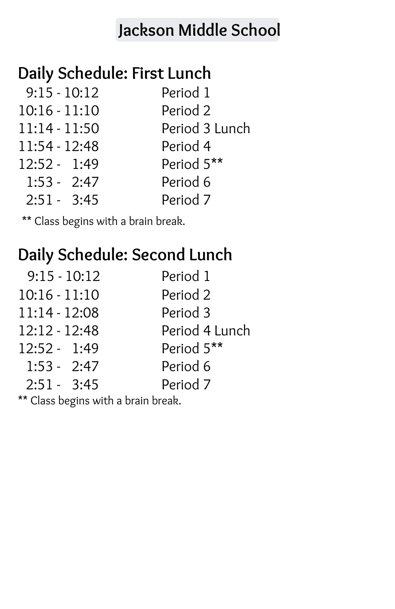# **[Jackson](mailto:jacksonpps@pps.net) Middle School**

# **Daily Schedule: First Lunch**

| $9:15 - 10:12$  | Period 1            |
|-----------------|---------------------|
| $10:16 - 11:10$ | Period 2            |
| $11:14 - 11:50$ | Period 3 Lunch      |
| 11:54 - 12:48   | Period 4            |
| $12:52 - 1:49$  | Period 5**          |
| $1:53 - 2:47$   | Period 6            |
| $2:51 - 3:45$   | Period <sub>7</sub> |

\*\* Class begins with a brain break.

### **Daily Schedule: Second Lunch**

| $9:15 - 10:12$  | Period 1       |
|-----------------|----------------|
| $10:16 - 11:10$ | Period 2       |
| $11:14 - 12:08$ | Period 3       |
| 12:12 - 12:48   | Period 4 Lunch |
| $12:52 - 1:49$  | Period 5**     |
| $1:53 - 2:47$   | Period 6       |
| $2:51 - 3:45$   | Period 7       |
|                 |                |

\*\* Class begins with a brain break.